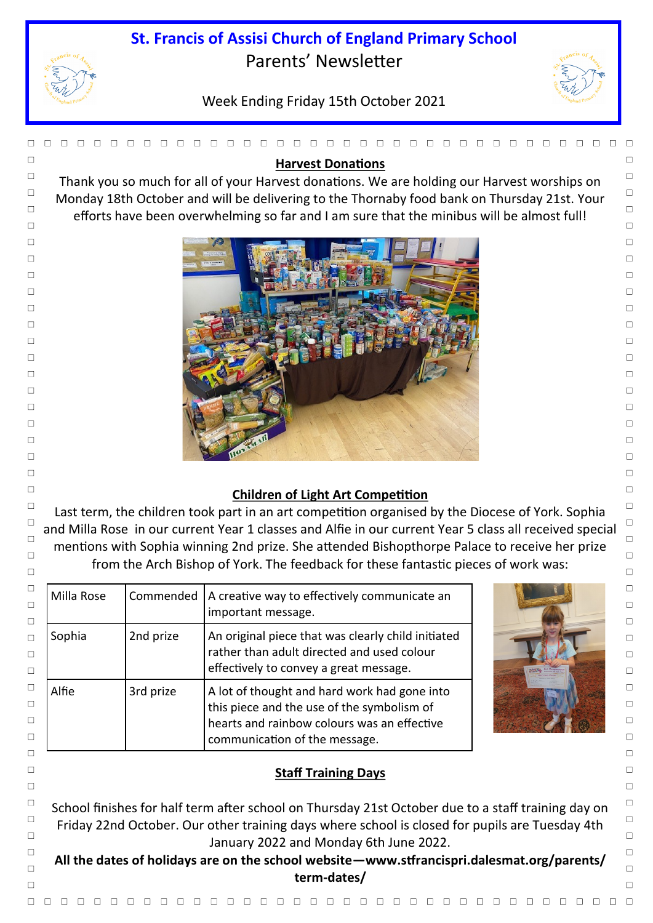## **St. Francis of Assisi Church of England Primary School** Parents' Newsletter



# Week Ending Friday 15th October 2021



**All the dates of holidays are on the school website—www.stfrancispri.dalesmat.org/parents/ term-dates/**